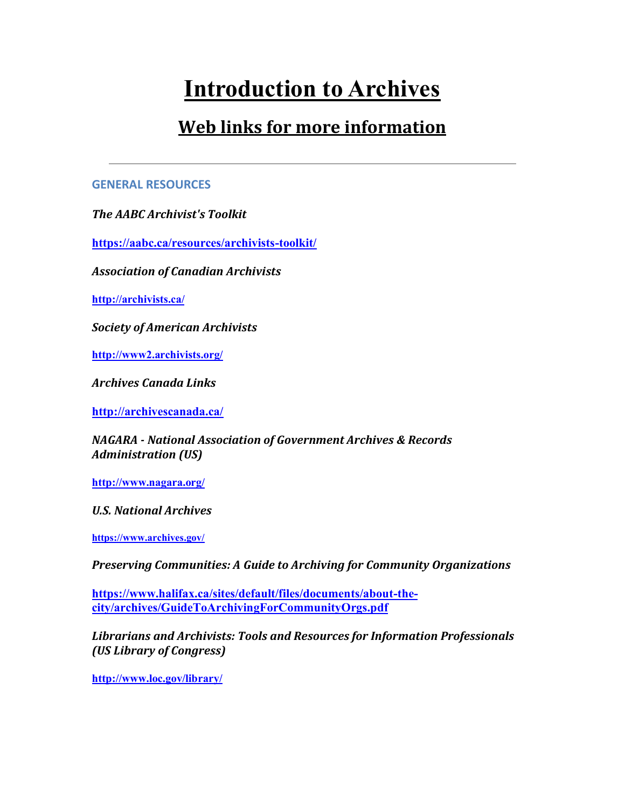# **Introduction to Archives**

## **Web links for more information**

#### **GENERAL RESOURCES**

*The AABC Archivist's Toolkit*

**<https://aabc.ca/resources/archivists-toolkit/>**

*Association of Canadian Archivists*

**<http://archivists.ca/>**

*Society of American Archivists*

**<http://www2.archivists.org/>**

*Archives Canada Links*

**<http://archivescanada.ca/>**

*NAGARA - National Association of Government Archives & Records Administration (US)*

**<http://www.nagara.org/>**

*U.S. National Archives*

**<https://www.archives.gov/>**

*Preserving Communities: A Guide to Archiving for Community Organizations*

**[https://www.halifax.ca/sites/default/files/documents/about-the](https://www.halifax.ca/sites/default/files/documents/about-the-city/archives/GuideToArchivingForCommunityOrgs.pdf)[city/archives/GuideToArchivingForCommunityOrgs.pdf](https://www.halifax.ca/sites/default/files/documents/about-the-city/archives/GuideToArchivingForCommunityOrgs.pdf)**

*Librarians and Archivists: Tools and Resources for Information Professionals (US Library of Congress)*

**<http://www.loc.gov/library/>**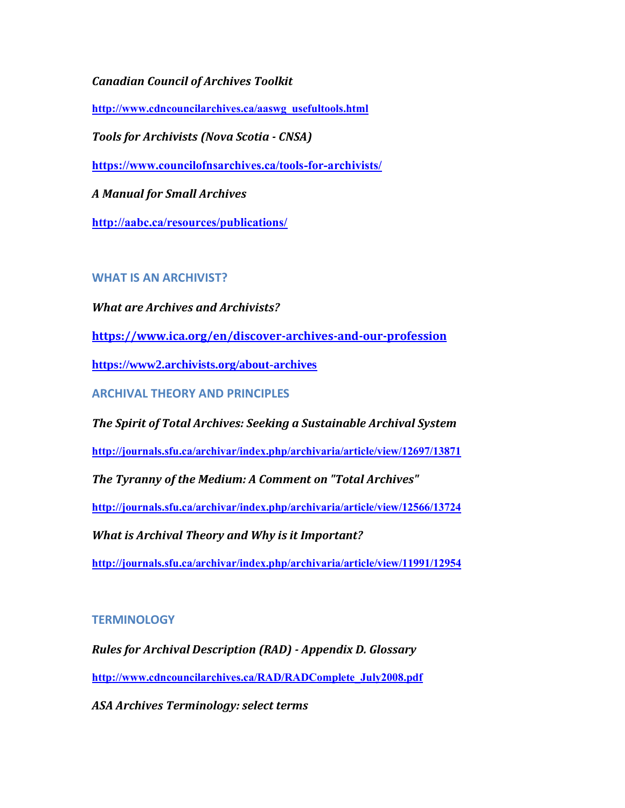*Canadian Council of Archives Toolkit*

**[http://www.cdncouncilarchives.ca/aaswg\\_usefultools.html](http://www.cdncouncilarchives.ca/aaswg_usefultools.html)**

*Tools for Archivists (Nova Scotia - CNSA)*

**<https://www.councilofnsarchives.ca/tools-for-archivists/>**

*A Manual for Small Archives*

**<http://aabc.ca/resources/publications/>**

#### **WHAT IS AN ARCHIVIST?**

*What are Archives and Archivists?*

**<https://www.ica.org/en/discover-archives-and-our-profession>**

**<https://www2.archivists.org/about-archives>**

**ARCHIVAL THEORY AND PRINCIPLES**

*The Spirit of Total Archives: Seeking a Sustainable Archival System*

**<http://journals.sfu.ca/archivar/index.php/archivaria/article/view/12697/13871>**

*The Tyranny of the Medium: A Comment on "Total Archives"*

**<http://journals.sfu.ca/archivar/index.php/archivaria/article/view/12566/13724>**

*What is Archival Theory and Why is it Important?*

**<http://journals.sfu.ca/archivar/index.php/archivaria/article/view/11991/12954>**

#### **TERMINOLOGY**

*Rules for Archival Description (RAD) - Appendix D. Glossary* **[http://www.cdncouncilarchives.ca/RAD/RADComplete\\_July2008.pdf](http://www.cdncouncilarchives.ca/RAD/RADComplete_July2008.pdf)**

*ASA Archives Terminology: select terms*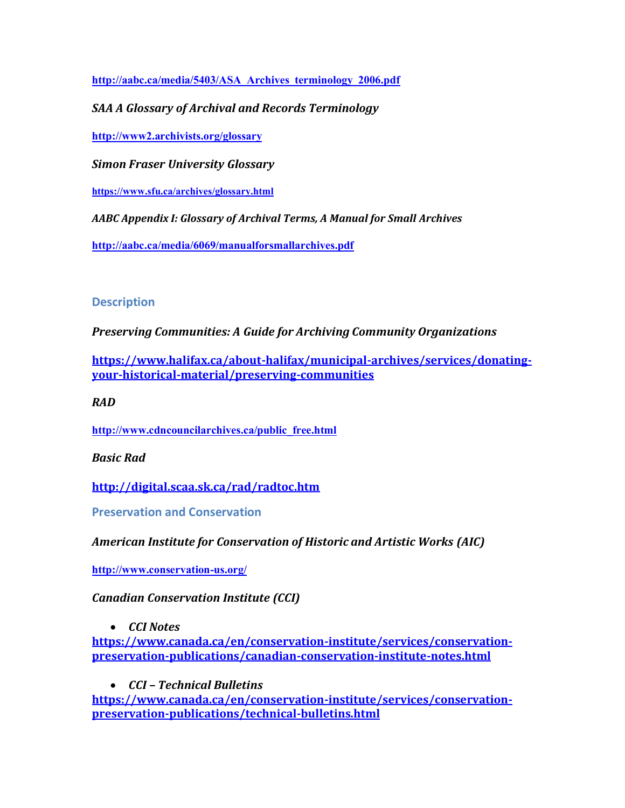**[http://aabc.ca/media/5403/ASA\\_Archives\\_terminology\\_2006.pdf](http://aabc.ca/media/5403/ASA_Archives_terminology_2006.pdf)**

*SAA A Glossary of Archival and Records Terminology*

**<http://www2.archivists.org/glossary>**

*Simon Fraser University Glossary*

**<https://www.sfu.ca/archives/glossary.html>**

*AABC Appendix I: Glossary of Archival Terms, A Manual for Small Archives*

**<http://aabc.ca/media/6069/manualforsmallarchives.pdf>**

#### **Description**

*Preserving Communities: A Guide for Archiving Community Organizations*

**[https://www.halifax.ca/about-halifax/municipal-archives/services/donating](https://www.halifax.ca/about-halifax/municipal-archives/services/donating-your-historical-material/preserving-communities)[your-historical-material/preserving-communities](https://www.halifax.ca/about-halifax/municipal-archives/services/donating-your-historical-material/preserving-communities)**

*RAD*

**[http://www.cdncouncilarchives.ca/public\\_free.html](http://www.cdncouncilarchives.ca/public_free.html)**

*Basic Rad*

**<http://digital.scaa.sk.ca/rad/radtoc.htm>**

**Preservation and Conservation**

*American Institute for Conservation of Historic and Artistic Works (AIC)*

**<http://www.conservation-us.org/>**

*Canadian Conservation Institute (CCI)*

• *CCI Notes*

**[https://www.canada.ca/en/conservation-institute/services/conservation](https://www.canada.ca/en/conservation-institute/services/conservation-preservation-publications/canadian-conservation-institute-notes.html)[preservation-publications/canadian-conservation-institute-notes.html](https://www.canada.ca/en/conservation-institute/services/conservation-preservation-publications/canadian-conservation-institute-notes.html)**

• *CCI – Technical Bulletins*

**[https://www.canada.ca/en/conservation-institute/services/conservation](https://www.canada.ca/en/conservation-institute/services/conservation-preservation-publications/technical-bulletins.html)[preservation-publications/technical-bulletins.html](https://www.canada.ca/en/conservation-institute/services/conservation-preservation-publications/technical-bulletins.html)**